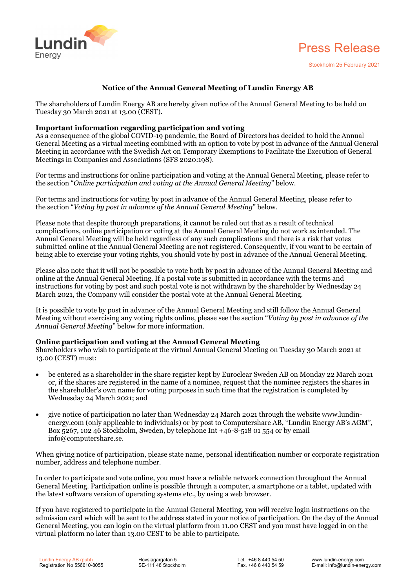



## **Notice of the Annual General Meeting of Lundin Energy AB**

The shareholders of Lundin Energy AB are hereby given notice of the Annual General Meeting to be held on Tuesday 30 March 2021 at 13.00 (CEST).

## **Important information regarding participation and voting**

As a consequence of the global COVID-19 pandemic, the Board of Directors has decided to hold the Annual General Meeting as a virtual meeting combined with an option to vote by post in advance of the Annual General Meeting in accordance with the Swedish Act on Temporary Exemptions to Facilitate the Execution of General Meetings in Companies and Associations (SFS 2020:198).

For terms and instructions for online participation and voting at the Annual General Meeting, please refer to the section "*Online participation and voting at the Annual General Meeting*" below.

For terms and instructions for voting by post in advance of the Annual General Meeting, please refer to the section "*Voting by post in advance of the Annual General Meeting*" below.

Please note that despite thorough preparations, it cannot be ruled out that as a result of technical complications, online participation or voting at the Annual General Meeting do not work as intended. The Annual General Meeting will be held regardless of any such complications and there is a risk that votes submitted online at the Annual General Meeting are not registered. Consequently, if you want to be certain of being able to exercise your voting rights, you should vote by post in advance of the Annual General Meeting.

Please also note that it will not be possible to vote both by post in advance of the Annual General Meeting and online at the Annual General Meeting. If a postal vote is submitted in accordance with the terms and instructions for voting by post and such postal vote is not withdrawn by the shareholder by Wednesday 24 March 2021, the Company will consider the postal vote at the Annual General Meeting.

It is possible to vote by post in advance of the Annual General Meeting and still follow the Annual General Meeting without exercising any voting rights online, please see the section "*Voting by post in advance of the Annual General Meeting*" below for more information.

## **Online participation and voting at the Annual General Meeting**

Shareholders who wish to participate at the virtual Annual General Meeting on Tuesday 30 March 2021 at 13.00 (CEST) must:

- be entered as a shareholder in the share register kept by Euroclear Sweden AB on Monday 22 March 2021 or, if the shares are registered in the name of a nominee, request that the nominee registers the shares in the shareholder's own name for voting purposes in such time that the registration is completed by Wednesday 24 March 2021; and
- give notice of participation no later than Wednesday 24 March 2021 through the website www.lundinenergy.com (only applicable to individuals) or by post to Computershare AB, "Lundin Energy AB's AGM", Box 5267, 102 46 Stockholm, Sweden, by telephone Int +46-8-518 01 554 or by email info@computershare.se.

When giving notice of participation, please state name, personal identification number or corporate registration number, address and telephone number.

In order to participate and vote online, you must have a reliable network connection throughout the Annual General Meeting. Participation online is possible through a computer, a smartphone or a tablet, updated with the latest software version of operating systems etc., by using a web browser.

If you have registered to participate in the Annual General Meeting, you will receive login instructions on the admission card which will be sent to the address stated in your notice of participation. On the day of the Annual General Meeting, you can login on the virtual platform from 11.00 CEST and you must have logged in on the virtual platform no later than 13.00 CEST to be able to participate.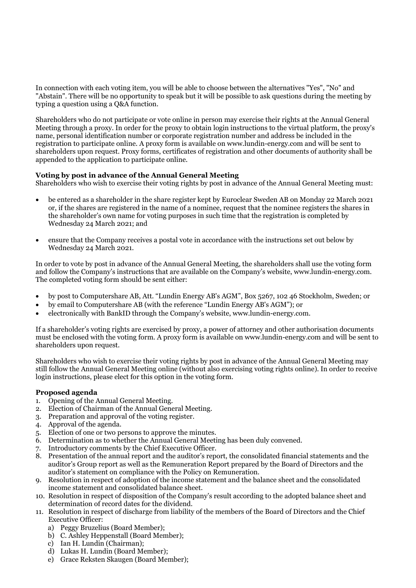In connection with each voting item, you will be able to choose between the alternatives "Yes", "No" and "Abstain". There will be no opportunity to speak but it will be possible to ask questions during the meeting by typing a question using a Q&A function.

Shareholders who do not participate or vote online in person may exercise their rights at the Annual General Meeting through a proxy. In order for the proxy to obtain login instructions to the virtual platform, the proxy's name, personal identification number or corporate registration number and address be included in the registration to participate online. A proxy form is available on www.lundin-energy.com and will be sent to shareholders upon request. Proxy forms, certificates of registration and other documents of authority shall be appended to the application to participate online.

## **Voting by post in advance of the Annual General Meeting**

Shareholders who wish to exercise their voting rights by post in advance of the Annual General Meeting must:

- be entered as a shareholder in the share register kept by Euroclear Sweden AB on Monday 22 March 2021 or, if the shares are registered in the name of a nominee, request that the nominee registers the shares in the shareholder's own name for voting purposes in such time that the registration is completed by Wednesday 24 March 2021; and
- ensure that the Company receives a postal vote in accordance with the instructions set out below by Wednesday 24 March 2021.

In order to vote by post in advance of the Annual General Meeting, the shareholders shall use the voting form and follow the Company's instructions that are available on the Company's website, www.lundin-energy.com. The completed voting form should be sent either:

- by post to Computershare AB, Att. "Lundin Energy AB's AGM", Box 5267, 102 46 Stockholm, Sweden; or
- by email to Computershare AB (with the reference "Lundin Energy AB's AGM"); or
- electronically with BankID through the Company's website, www.lundin-energy.com.

If a shareholder's voting rights are exercised by proxy, a power of attorney and other authorisation documents must be enclosed with the voting form. A proxy form is available on www.lundin-energy.com and will be sent to shareholders upon request.

Shareholders who wish to exercise their voting rights by post in advance of the Annual General Meeting may still follow the Annual General Meeting online (without also exercising voting rights online). In order to receive login instructions, please elect for this option in the voting form.

### **Proposed agenda**

- 1. Opening of the Annual General Meeting.
- 2. Election of Chairman of the Annual General Meeting.
- 3. Preparation and approval of the voting register.
- 4. Approval of the agenda.
- 5. Election of one or two persons to approve the minutes.
- 6. Determination as to whether the Annual General Meeting has been duly convened.
- 7. Introductory comments by the Chief Executive Officer.
- 8. Presentation of the annual report and the auditor's report, the consolidated financial statements and the auditor's Group report as well as the Remuneration Report prepared by the Board of Directors and the auditor's statement on compliance with the Policy on Remuneration.
- 9. Resolution in respect of adoption of the income statement and the balance sheet and the consolidated income statement and consolidated balance sheet.
- 10. Resolution in respect of disposition of the Company's result according to the adopted balance sheet and determination of record dates for the dividend.
- 11. Resolution in respect of discharge from liability of the members of the Board of Directors and the Chief Executive Officer:
	- a) Peggy Bruzelius (Board Member);
	- b) C. Ashley Heppenstall (Board Member);
	- c) Ian H. Lundin (Chairman);
	- d) Lukas H. Lundin (Board Member);
	- e) Grace Reksten Skaugen (Board Member);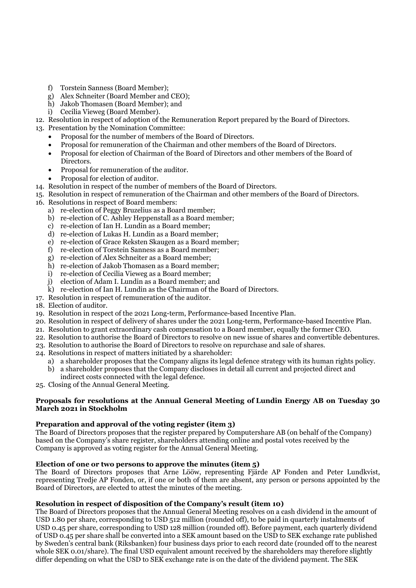- f) Torstein Sanness (Board Member);
- g) Alex Schneiter (Board Member and CEO);
- h) Jakob Thomasen (Board Member); and
- i) Cecilia Vieweg (Board Member).
- 12. Resolution in respect of adoption of the Remuneration Report prepared by the Board of Directors.
- 13. Presentation by the Nomination Committee:
	- Proposal for the number of members of the Board of Directors.
	- Proposal for remuneration of the Chairman and other members of the Board of Directors.
	- Proposal for election of Chairman of the Board of Directors and other members of the Board of Directors.
	- Proposal for remuneration of the auditor.
	- Proposal for election of auditor.
- 14. Resolution in respect of the number of members of the Board of Directors.
- 15. Resolution in respect of remuneration of the Chairman and other members of the Board of Directors.
- 16. Resolutions in respect of Board members:
	- a) re-election of Peggy Bruzelius as a Board member;
	- b) re-election of C. Ashley Heppenstall as a Board member;
		- c) re-election of Ian H. Lundin as a Board member;
		- d) re-election of Lukas H. Lundin as a Board member;
		- e) re-election of Grace Reksten Skaugen as a Board member;
		- f) re-election of Torstein Sanness as a Board member;
		- g) re-election of Alex Schneiter as a Board member;
		- h) re-election of Jakob Thomasen as a Board member;
		- i) re-election of Cecilia Vieweg as a Board member;
		- j) election of Adam I. Lundin as a Board member; and
	- k) re-election of Ian H. Lundin as the Chairman of the Board of Directors.
- 17. Resolution in respect of remuneration of the auditor.
- 18. Election of auditor.
- 19. Resolution in respect of the 2021 Long-term, Performance-based Incentive Plan.
- 20. Resolution in respect of delivery of shares under the 2021 Long-term, Performance-based Incentive Plan.
- 21. Resolution to grant extraordinary cash compensation to a Board member, equally the former CEO.
- 22. Resolution to authorise the Board of Directors to resolve on new issue of shares and convertible debentures.
- 23. Resolution to authorise the Board of Directors to resolve on repurchase and sale of shares.
- 24. Resolutions in respect of matters initiated by a shareholder:
	- a) a shareholder proposes that the Company aligns its legal defence strategy with its human rights policy. b) a shareholder proposes that the Company discloses in detail all current and projected direct and
	- indirect costs connected with the legal defence.
- 25. Closing of the Annual General Meeting.

## **Proposals for resolutions at the Annual General Meeting of Lundin Energy AB on Tuesday 30 March 2021 in Stockholm**

# **Preparation and approval of the voting register (item 3)**

The Board of Directors proposes that the register prepared by Computershare AB (on behalf of the Company) based on the Company's share register, shareholders attending online and postal votes received by the Company is approved as voting register for the Annual General Meeting.

## **Election of one or two persons to approve the minutes (item 5)**

The Board of Directors proposes that Arne Lööw, representing Fjärde AP Fonden and Peter Lundkvist, representing Tredje AP Fonden, or, if one or both of them are absent, any person or persons appointed by the Board of Directors, are elected to attest the minutes of the meeting.

## **Resolution in respect of disposition of the Company's result (item 10)**

The Board of Directors proposes that the Annual General Meeting resolves on a cash dividend in the amount of USD 1.80 per share, corresponding to USD 512 million (rounded off), to be paid in quarterly instalments of USD 0.45 per share, corresponding to USD 128 million (rounded off). Before payment, each quarterly dividend of USD 0.45 per share shall be converted into a SEK amount based on the USD to SEK exchange rate published by Sweden's central bank (Riksbanken) four business days prior to each record date (rounded off to the nearest whole SEK 0.01/share). The final USD equivalent amount received by the shareholders may therefore slightly differ depending on what the USD to SEK exchange rate is on the date of the dividend payment. The SEK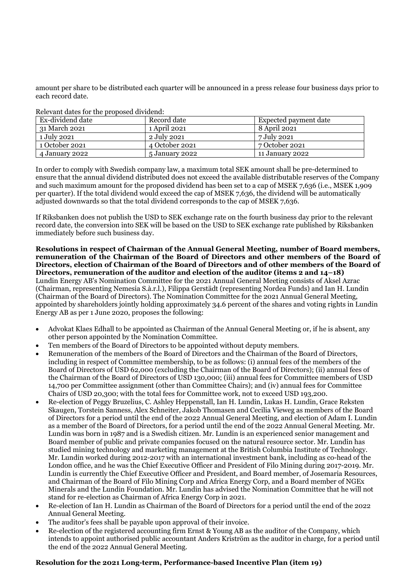amount per share to be distributed each quarter will be announced in a press release four business days prior to each record date.

| Referant aates for the proposed arrittent. |                |                       |
|--------------------------------------------|----------------|-----------------------|
| Ex-dividend date                           | Record date    | Expected payment date |
| 31 March 2021                              | 1 April 2021   | 8 April 2021          |
| 1 July 2021                                | 2 July 2021    | 7 July 2021           |
| 1 October 2021                             | 4 October 2021 | 7 October 2021        |
| 4 January 2022                             | 5 January 2022 | 11 January 2022       |

Relevant dates for the proposed dividend:

In order to comply with Swedish company law, a maximum total SEK amount shall be pre-determined to ensure that the annual dividend distributed does not exceed the available distributable reserves of the Company and such maximum amount for the proposed dividend has been set to a cap of MSEK 7,636 (i.e., MSEK 1,909 per quarter). If the total dividend would exceed the cap of MSEK 7,636, the dividend will be automatically adjusted downwards so that the total dividend corresponds to the cap of MSEK 7,636.

If Riksbanken does not publish the USD to SEK exchange rate on the fourth business day prior to the relevant record date, the conversion into SEK will be based on the USD to SEK exchange rate published by Riksbanken immediately before such business day.

**Resolutions in respect of Chairman of the Annual General Meeting, number of Board members, remuneration of the Chairman of the Board of Directors and other members of the Board of Directors, election of Chairman of the Board of Directors and of other members of the Board of Directors, remuneration of the auditor and election of the auditor (items 2 and 14–18)** 

Lundin Energy AB's Nomination Committee for the 2021 Annual General Meeting consists of Aksel Azrac (Chairman, representing Nemesia S.à.r.l.), Filippa Gerstädt (representing Nordea Funds) and Ian H. Lundin (Chairman of the Board of Directors). The Nomination Committee for the 2021 Annual General Meeting, appointed by shareholders jointly holding approximately 34.6 percent of the shares and voting rights in Lundin Energy AB as per 1 June 2020, proposes the following:

- Advokat Klaes Edhall to be appointed as Chairman of the Annual General Meeting or, if he is absent, any other person appointed by the Nomination Committee.
- Ten members of the Board of Directors to be appointed without deputy members.
- Remuneration of the members of the Board of Directors and the Chairman of the Board of Directors, including in respect of Committee membership, to be as follows: (i) annual fees of the members of the Board of Directors of USD 62,000 (excluding the Chairman of the Board of Directors); (ii) annual fees of the Chairman of the Board of Directors of USD 130,000; (iii) annual fees for Committee members of USD 14,700 per Committee assignment (other than Committee Chairs); and (iv) annual fees for Committee Chairs of USD 20,300; with the total fees for Committee work, not to exceed USD 193,200.
- Re-election of Peggy Bruzelius, C. Ashley Heppenstall, Ian H. Lundin, Lukas H. Lundin, Grace Reksten Skaugen, Torstein Sanness, Alex Schneiter, Jakob Thomasen and Cecilia Vieweg as members of the Board of Directors for a period until the end of the 2022 Annual General Meeting, and election of Adam I. Lundin as a member of the Board of Directors, for a period until the end of the 2022 Annual General Meeting. Mr. Lundin was born in 1987 and is a Swedish citizen. Mr. Lundin is an experienced senior management and Board member of public and private companies focused on the natural resource sector. Mr. Lundin has studied mining technology and marketing management at the British Columbia Institute of Technology. Mr. Lundin worked during 2012-2017 with an international investment bank, including as co-head of the London office, and he was the Chief Executive Officer and President of Filo Mining during 2017-2019. Mr. Lundin is currently the Chief Executive Officer and President, and Board member, of Josemaria Resources, and Chairman of the Board of Filo Mining Corp and Africa Energy Corp, and a Board member of NGEx Minerals and the Lundin Foundation. Mr. Lundin has advised the Nomination Committee that he will not stand for re-election as Chairman of Africa Energy Corp in 2021.
- Re-election of Ian H. Lundin as Chairman of the Board of Directors for a period until the end of the 2022 Annual General Meeting.
- The auditor's fees shall be payable upon approval of their invoice.
- Re-election of the registered accounting firm Ernst & Young AB as the auditor of the Company, which intends to appoint authorised public accountant Anders Kriström as the auditor in charge, for a period until the end of the 2022 Annual General Meeting.

## **Resolution for the 2021 Long-term, Performance-based Incentive Plan (item 19)**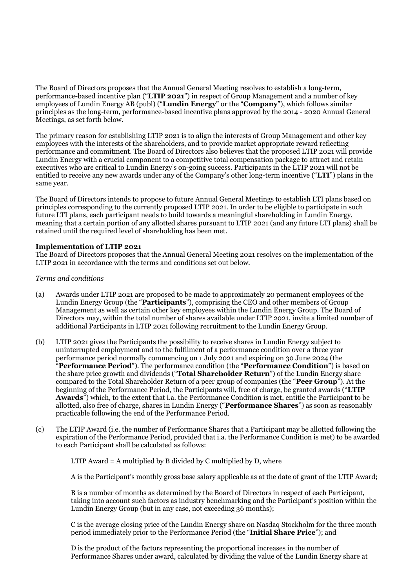The Board of Directors proposes that the Annual General Meeting resolves to establish a long-term, performance-based incentive plan ("**LTIP 2021**") in respect of Group Management and a number of key employees of Lundin Energy AB (publ) ("**Lundin Energy**" or the "**Company**"), which follows similar principles as the long-term, performance-based incentive plans approved by the 2014 - 2020 Annual General Meetings, as set forth below.

The primary reason for establishing LTIP 2021 is to align the interests of Group Management and other key employees with the interests of the shareholders, and to provide market appropriate reward reflecting performance and commitment. The Board of Directors also believes that the proposed LTIP 2021 will provide Lundin Energy with a crucial component to a competitive total compensation package to attract and retain executives who are critical to Lundin Energy's on-going success. Participants in the LTIP 2021 will not be entitled to receive any new awards under any of the Company's other long-term incentive ("**LTI**") plans in the same year.

The Board of Directors intends to propose to future Annual General Meetings to establish LTI plans based on principles corresponding to the currently proposed LTIP 2021. In order to be eligible to participate in such future LTI plans, each participant needs to build towards a meaningful shareholding in Lundin Energy, meaning that a certain portion of any allotted shares pursuant to LTIP 2021 (and any future LTI plans) shall be retained until the required level of shareholding has been met.

## **Implementation of LTIP 2021**

The Board of Directors proposes that the Annual General Meeting 2021 resolves on the implementation of the LTIP 2021 in accordance with the terms and conditions set out below.

### *Terms and conditions*

- (a) Awards under LTIP 2021 are proposed to be made to approximately 20 permanent employees of the Lundin Energy Group (the "**Participants**"), comprising the CEO and other members of Group Management as well as certain other key employees within the Lundin Energy Group. The Board of Directors may, within the total number of shares available under LTIP 2021, invite a limited number of additional Participants in LTIP 2021 following recruitment to the Lundin Energy Group.
- (b) LTIP 2021 gives the Participants the possibility to receive shares in Lundin Energy subject to uninterrupted employment and to the fulfilment of a performance condition over a three year performance period normally commencing on 1 July 2021 and expiring on 30 June 2024 (the "**Performance Period**"). The performance condition (the "**Performance Condition**") is based on the share price growth and dividends ("**Total Shareholder Return**") of the Lundin Energy share compared to the Total Shareholder Return of a peer group of companies (the "**Peer Group**"). At the beginning of the Performance Period, the Participants will, free of charge, be granted awards ("**LTIP Awards**") which, to the extent that i.a. the Performance Condition is met, entitle the Participant to be allotted, also free of charge, shares in Lundin Energy ("**Performance Shares**") as soon as reasonably practicable following the end of the Performance Period.
- (c) The LTIP Award (i.e. the number of Performance Shares that a Participant may be allotted following the expiration of the Performance Period, provided that i.a. the Performance Condition is met) to be awarded to each Participant shall be calculated as follows:

LTIP Award  $=$  A multiplied by B divided by C multiplied by D, where

A is the Participant's monthly gross base salary applicable as at the date of grant of the LTIP Award;

B is a number of months as determined by the Board of Directors in respect of each Participant, taking into account such factors as industry benchmarking and the Participant's position within the Lundin Energy Group (but in any case, not exceeding 36 months);

C is the average closing price of the Lundin Energy share on Nasdaq Stockholm for the three month period immediately prior to the Performance Period (the "**Initial Share Price**"); and

D is the product of the factors representing the proportional increases in the number of Performance Shares under award, calculated by dividing the value of the Lundin Energy share at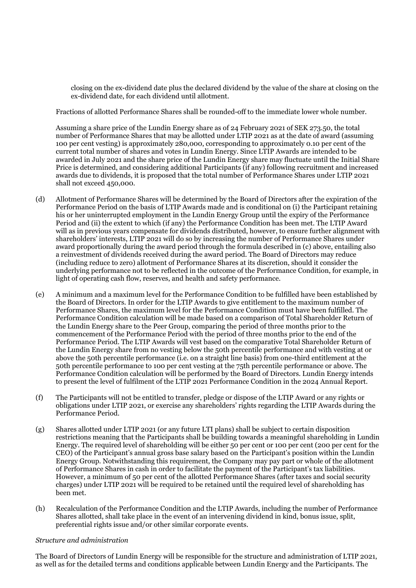closing on the ex-dividend date plus the declared dividend by the value of the share at closing on the ex-dividend date, for each dividend until allotment.

Fractions of allotted Performance Shares shall be rounded-off to the immediate lower whole number.

Assuming a share price of the Lundin Energy share as of 24 February 2021 of SEK 273.50, the total number of Performance Shares that may be allotted under LTIP 2021 as at the date of award (assuming 100 per cent vesting) is approximately 280,000, corresponding to approximately 0.10 per cent of the current total number of shares and votes in Lundin Energy. Since LTIP Awards are intended to be awarded in July 2021 and the share price of the Lundin Energy share may fluctuate until the Initial Share Price is determined, and considering additional Participants (if any) following recruitment and increased awards due to dividends, it is proposed that the total number of Performance Shares under LTIP 2021 shall not exceed 450,000.

- (d) Allotment of Performance Shares will be determined by the Board of Directors after the expiration of the Performance Period on the basis of LTIP Awards made and is conditional on (i) the Participant retaining his or her uninterrupted employment in the Lundin Energy Group until the expiry of the Performance Period and (ii) the extent to which (if any) the Performance Condition has been met. The LTIP Award will as in previous years compensate for dividends distributed, however, to ensure further alignment with shareholders' interests, LTIP 2021 will do so by increasing the number of Performance Shares under award proportionally during the award period through the formula described in (c) above, entailing also a reinvestment of dividends received during the award period. The Board of Directors may reduce (including reduce to zero) allotment of Performance Shares at its discretion, should it consider the underlying performance not to be reflected in the outcome of the Performance Condition, for example, in light of operating cash flow, reserves, and health and safety performance.
- (e) A minimum and a maximum level for the Performance Condition to be fulfilled have been established by the Board of Directors. In order for the LTIP Awards to give entitlement to the maximum number of Performance Shares, the maximum level for the Performance Condition must have been fulfilled. The Performance Condition calculation will be made based on a comparison of Total Shareholder Return of the Lundin Energy share to the Peer Group, comparing the period of three months prior to the commencement of the Performance Period with the period of three months prior to the end of the Performance Period. The LTIP Awards will vest based on the comparative Total Shareholder Return of the Lundin Energy share from no vesting below the 50th percentile performance and with vesting at or above the 50th percentile performance (i.e. on a straight line basis) from one-third entitlement at the 50th percentile performance to 100 per cent vesting at the 75th percentile performance or above. The Performance Condition calculation will be performed by the Board of Directors. Lundin Energy intends to present the level of fulfilment of the LTIP 2021 Performance Condition in the 2024 Annual Report.
- (f) The Participants will not be entitled to transfer, pledge or dispose of the LTIP Award or any rights or obligations under LTIP 2021, or exercise any shareholders' rights regarding the LTIP Awards during the Performance Period.
- (g) Shares allotted under LTIP 2021 (or any future LTI plans) shall be subject to certain disposition restrictions meaning that the Participants shall be building towards a meaningful shareholding in Lundin Energy. The required level of shareholding will be either 50 per cent or 100 per cent (200 per cent for the CEO) of the Participant's annual gross base salary based on the Participant's position within the Lundin Energy Group. Notwithstanding this requirement, the Company may pay part or whole of the allotment of Performance Shares in cash in order to facilitate the payment of the Participant's tax liabilities. However, a minimum of 50 per cent of the allotted Performance Shares (after taxes and social security charges) under LTIP 2021 will be required to be retained until the required level of shareholding has been met.
- (h) Recalculation of the Performance Condition and the LTIP Awards, including the number of Performance Shares allotted, shall take place in the event of an intervening dividend in kind, bonus issue, split, preferential rights issue and/or other similar corporate events.

### *Structure and administration*

The Board of Directors of Lundin Energy will be responsible for the structure and administration of LTIP 2021, as well as for the detailed terms and conditions applicable between Lundin Energy and the Participants. The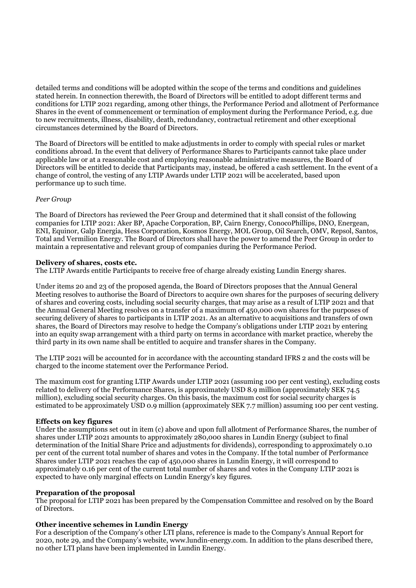detailed terms and conditions will be adopted within the scope of the terms and conditions and guidelines stated herein. In connection therewith, the Board of Directors will be entitled to adopt different terms and conditions for LTIP 2021 regarding, among other things, the Performance Period and allotment of Performance Shares in the event of commencement or termination of employment during the Performance Period, e.g. due to new recruitments, illness, disability, death, redundancy, contractual retirement and other exceptional circumstances determined by the Board of Directors.

The Board of Directors will be entitled to make adjustments in order to comply with special rules or market conditions abroad. In the event that delivery of Performance Shares to Participants cannot take place under applicable law or at a reasonable cost and employing reasonable administrative measures, the Board of Directors will be entitled to decide that Participants may, instead, be offered a cash settlement. In the event of a change of control, the vesting of any LTIP Awards under LTIP 2021 will be accelerated, based upon performance up to such time.

## *Peer Group*

The Board of Directors has reviewed the Peer Group and determined that it shall consist of the following companies for LTIP 2021: Aker BP, Apache Corporation, BP, Cairn Energy, ConocoPhillips, DNO, Energean, ENI, Equinor, Galp Energia, Hess Corporation, Kosmos Energy, MOL Group, Oil Search, OMV, Repsol, Santos, Total and Vermilion Energy. The Board of Directors shall have the power to amend the Peer Group in order to maintain a representative and relevant group of companies during the Performance Period.

## **Delivery of shares, costs etc.**

The LTIP Awards entitle Participants to receive free of charge already existing Lundin Energy shares.

Under items 20 and 23 of the proposed agenda, the Board of Directors proposes that the Annual General Meeting resolves to authorise the Board of Directors to acquire own shares for the purposes of securing delivery of shares and covering costs, including social security charges, that may arise as a result of LTIP 2021 and that the Annual General Meeting resolves on a transfer of a maximum of 450,000 own shares for the purposes of securing delivery of shares to participants in LTIP 2021. As an alternative to acquisitions and transfers of own shares, the Board of Directors may resolve to hedge the Company's obligations under LTIP 2021 by entering into an equity swap arrangement with a third party on terms in accordance with market practice, whereby the third party in its own name shall be entitled to acquire and transfer shares in the Company.

The LTIP 2021 will be accounted for in accordance with the accounting standard IFRS 2 and the costs will be charged to the income statement over the Performance Period.

The maximum cost for granting LTIP Awards under LTIP 2021 (assuming 100 per cent vesting), excluding costs related to delivery of the Performance Shares, is approximately USD 8.9 million (approximately SEK 74.5 million), excluding social security charges. On this basis, the maximum cost for social security charges is estimated to be approximately USD 0.9 million (approximately SEK 7.7 million) assuming 100 per cent vesting.

### **Effects on key figures**

Under the assumptions set out in item (c) above and upon full allotment of Performance Shares, the number of shares under LTIP 2021 amounts to approximately 280,000 shares in Lundin Energy (subject to final determination of the Initial Share Price and adjustments for dividends), corresponding to approximately 0.10 per cent of the current total number of shares and votes in the Company. If the total number of Performance Shares under LTIP 2021 reaches the cap of 450,000 shares in Lundin Energy, it will correspond to approximately 0.16 per cent of the current total number of shares and votes in the Company LTIP 2021 is expected to have only marginal effects on Lundin Energy's key figures.

### **Preparation of the proposal**

The proposal for LTIP 2021 has been prepared by the Compensation Committee and resolved on by the Board of Directors.

## **Other incentive schemes in Lundin Energy**

For a description of the Company's other LTI plans, reference is made to the Company's Annual Report for 2020, note 29, and the Company's website, www.lundin-energy.com. In addition to the plans described there, no other LTI plans have been implemented in Lundin Energy.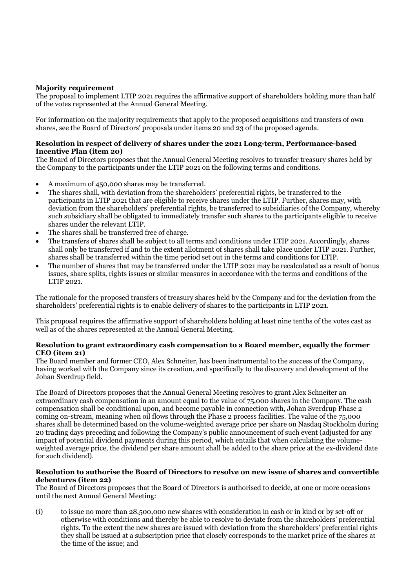## **Majority requirement**

The proposal to implement LTIP 2021 requires the affirmative support of shareholders holding more than half of the votes represented at the Annual General Meeting.

For information on the majority requirements that apply to the proposed acquisitions and transfers of own shares, see the Board of Directors' proposals under items 20 and 23 of the proposed agenda.

### **Resolution in respect of delivery of shares under the 2021 Long-term, Performance-based Incentive Plan (item 20)**

The Board of Directors proposes that the Annual General Meeting resolves to transfer treasury shares held by the Company to the participants under the LTIP 2021 on the following terms and conditions.

- A maximum of 450,000 shares may be transferred.
- The shares shall, with deviation from the shareholders' preferential rights, be transferred to the participants in LTIP 2021 that are eligible to receive shares under the LTIP. Further, shares may, with deviation from the shareholders' preferential rights, be transferred to subsidiaries of the Company, whereby such subsidiary shall be obligated to immediately transfer such shares to the participants eligible to receive shares under the relevant LTIP.
- The shares shall be transferred free of charge.
- The transfers of shares shall be subject to all terms and conditions under LTIP 2021. Accordingly, shares shall only be transferred if and to the extent allotment of shares shall take place under LTIP 2021. Further, shares shall be transferred within the time period set out in the terms and conditions for LTIP.
- The number of shares that may be transferred under the LTIP 2021 may be recalculated as a result of bonus issues, share splits, rights issues or similar measures in accordance with the terms and conditions of the LTIP 2021.

The rationale for the proposed transfers of treasury shares held by the Company and for the deviation from the shareholders' preferential rights is to enable delivery of shares to the participants in LTIP 2021.

This proposal requires the affirmative support of shareholders holding at least nine tenths of the votes cast as well as of the shares represented at the Annual General Meeting.

## **Resolution to grant extraordinary cash compensation to a Board member, equally the former CEO (item 21)**

The Board member and former CEO, Alex Schneiter, has been instrumental to the success of the Company, having worked with the Company since its creation, and specifically to the discovery and development of the Johan Sverdrup field.

The Board of Directors proposes that the Annual General Meeting resolves to grant Alex Schneiter an extraordinary cash compensation in an amount equal to the value of 75,000 shares in the Company. The cash compensation shall be conditional upon, and become payable in connection with, Johan Sverdrup Phase 2 coming on-stream, meaning when oil flows through the Phase 2 process facilities. The value of the 75,000 shares shall be determined based on the volume-weighted average price per share on Nasdaq Stockholm during 20 trading days preceding and following the Company's public announcement of such event (adjusted for any impact of potential dividend payments during this period, which entails that when calculating the volumeweighted average price, the dividend per share amount shall be added to the share price at the ex-dividend date for such dividend).

### **Resolution to authorise the Board of Directors to resolve on new issue of shares and convertible debentures (item 22)**

The Board of Directors proposes that the Board of Directors is authorised to decide, at one or more occasions until the next Annual General Meeting:

(i) to issue no more than 28,500,000 new shares with consideration in cash or in kind or by set-off or otherwise with conditions and thereby be able to resolve to deviate from the shareholders' preferential rights. To the extent the new shares are issued with deviation from the shareholders' preferential rights they shall be issued at a subscription price that closely corresponds to the market price of the shares at the time of the issue; and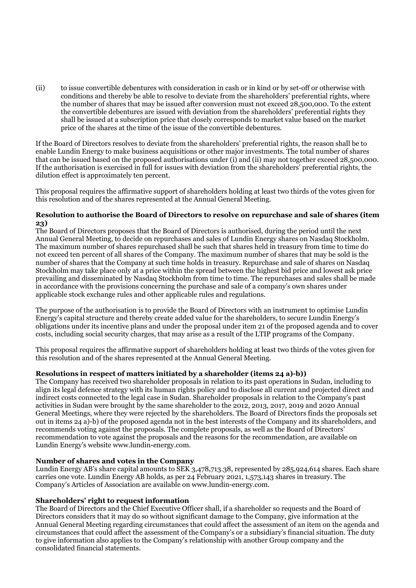(ii) to issue convertible debentures with consideration in cash or in kind or by set-off or otherwise with conditions and thereby be able to resolve to deviate from the shareholders' preferential rights, where the number of shares that may be issued after conversion must not exceed 28,500,000. To the extent the convertible debentures are issued with deviation from the shareholders' preferential rights they shall be issued at a subscription price that closely corresponds to market value based on the market price of the shares at the time of the issue of the convertible debentures.

If the Board of Directors resolves to deviate from the shareholders' preferential rights, the reason shall be to enable Lundin Energy to make business acquisitions or other major investments. The total number of shares that can be issued based on the proposed authorisations under (i) and (ii) may not together exceed 28,500,000. If the authorisation is exercised in full for issues with deviation from the shareholders' preferential rights, the dilution effect is approximately ten percent.

This proposal requires the affirmative support of shareholders holding at least two thirds of the votes given for this resolution and of the shares represented at the Annual General Meeting.

## **Resolution to authorise the Board of Directors to resolve on repurchase and sale of shares (item 23)**

The Board of Directors proposes that the Board of Directors is authorised, during the period until the next Annual General Meeting, to decide on repurchases and sales of Lundin Energy shares on Nasdaq Stockholm. The maximum number of shares repurchased shall be such that shares held in treasury from time to time do not exceed ten percent of all shares of the Company. The maximum number of shares that may be sold is the number of shares that the Company at such time holds in treasury. Repurchase and sale of shares on Nasdaq Stockholm may take place only at a price within the spread between the highest bid price and lowest ask price prevailing and disseminated by Nasdaq Stockholm from time to time. The repurchases and sales shall be made in accordance with the provisions concerning the purchase and sale of a company's own shares under applicable stock exchange rules and other applicable rules and regulations.

The purpose of the authorisation is to provide the Board of Directors with an instrument to optimise Lundin Energy's capital structure and thereby create added value for the shareholders, to secure Lundin Energy's obligations under its incentive plans and under the proposal under item 21 of the proposed agenda and to cover costs, including social security charges, that may arise as a result of the LTIP programs of the Company.

This proposal requires the affirmative support of shareholders holding at least two thirds of the votes given for this resolution and of the shares represented at the Annual General Meeting.

## **Resolutions in respect of matters initiated by a shareholder (items 24 a)-b))**

The Company has received two shareholder proposals in relation to its past operations in Sudan, including to align its legal defence strategy with its human rights policy and to disclose all current and projected direct and indirect costs connected to the legal case in Sudan. Shareholder proposals in relation to the Company's past activities in Sudan were brought by the same shareholder to the 2012, 2013, 2017, 2019 and 2020 Annual General Meetings, where they were rejected by the shareholders. The Board of Directors finds the proposals set out in items 24 a)-b) of the proposed agenda not in the best interests of the Company and its shareholders, and recommends voting against the proposals. The complete proposals, as well as the Board of Directors' recommendation to vote against the proposals and the reasons for the recommendation, are available on Lundin Energy's website www.lundin-energy.com.

## **Number of shares and votes in the Company**

Lundin Energy AB's share capital amounts to SEK 3,478,713.38, represented by 285,924,614 shares. Each share carries one vote. Lundin Energy AB holds, as per 24 February 2021, 1,573,143 shares in treasury. The Company's Articles of Association are available on www.lundin-energy.com.

## **Shareholders' right to request information**

The Board of Directors and the Chief Executive Officer shall, if a shareholder so requests and the Board of Directors considers that it may do so without significant damage to the Company, give information at the Annual General Meeting regarding circumstances that could affect the assessment of an item on the agenda and circumstances that could affect the assessment of the Company's or a subsidiary's financial situation. The duty to give information also applies to the Company's relationship with another Group company and the consolidated financial statements.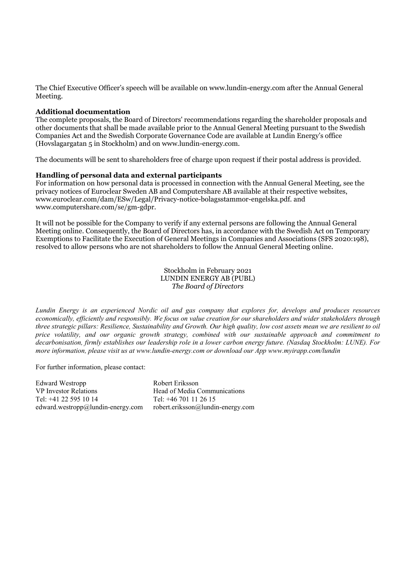The Chief Executive Officer's speech will be available on www.lundin-energy.com after the Annual General Meeting.

#### **Additional documentation**

The complete proposals, the Board of Directors' recommendations regarding the shareholder proposals and other documents that shall be made available prior to the Annual General Meeting pursuant to the Swedish Companies Act and the Swedish Corporate Governance Code are available at Lundin Energy's office (Hovslagargatan 5 in Stockholm) and on www.lundin-energy.com.

The documents will be sent to shareholders free of charge upon request if their postal address is provided.

### **Handling of personal data and external participants**

For information on how personal data is processed in connection with the Annual General Meeting, see the privacy notices of Euroclear Sweden AB and Computershare AB available at their respective websites, www.euroclear.com/dam/ESw/Legal/Privacy-notice-bolagsstammor-engelska.pdf. and www.computershare.com/se/gm-gdpr.

It will not be possible for the Company to verify if any external persons are following the Annual General Meeting online. Consequently, the Board of Directors has, in accordance with the Swedish Act on Temporary Exemptions to Facilitate the Execution of General Meetings in Companies and Associations (SFS 2020:198), resolved to allow persons who are not shareholders to follow the Annual General Meeting online.

> Stockholm in February 2021 LUNDIN ENERGY AB (PUBL) *The Board of Directors*

*Lundin Energy is an experienced Nordic oil and gas company that explores for, develops and produces resources economically, efficiently and responsibly. We focus on value creation for our shareholders and wider stakeholders through three strategic pillars: Resilience, Sustainability and Growth. Our high quality, low cost assets mean we are resilient to oil price volatility, and our organic growth strategy, combined with our sustainable approach and commitment to decarbonisation, firmly establishes our leadership role in a lower carbon energy future. (Nasdaq Stockholm: LUNE). For more information, please visit us at www.lundin-energy.com or download our App www.myirapp.com/lundin*

For further information, please contact:

Edward Westropp VP Investor Relations Tel: +41 22 595 10 14 edward.westropp@lundin-energy.com

Robert Eriksson Head of Media Communications Tel: +46 701 11 26 15 robert.eriksson@lundin-energy.com